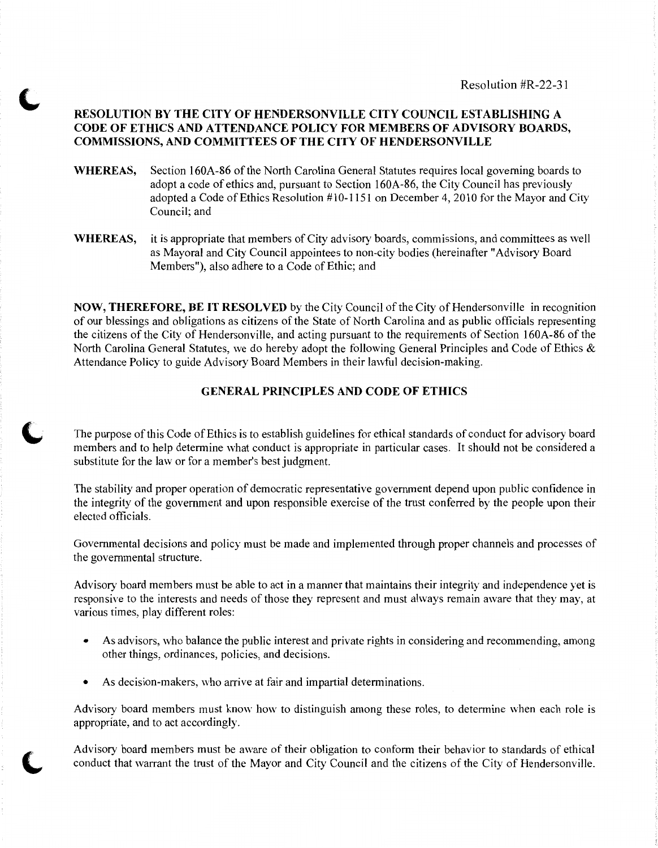# **RESOLUTION BY THE CITY OF HENDERSONVILLE CITY COUNCIL ESTABLISHING A CODE OF ETHICS AND ATTENDANCE POLICY FOR MEMBERS OF ADVISORY BOARDS, COMMISSIONS, AND COMMITTEES OF THE CITY OF HENDERSONVILLE**

- **WHEREAS,** Section 160A-86 of the North Carolina General Statutes requires local governing boards to adopt a code of ethics and, pursuant to Section 160A-86, the City Council has previously adopted a Code of Ethics Resolution #10-1151 on December 4, 2010 for the Mayor and City Council; and
- **WHEREAS,** it is appropriate that members of City advisory boards, commissions, and committees as well as Mayoral and City Council appointees to non-city bodies (hereinafter "Advisory Board Members"), also adhere to a Code of Ethic; and

**NOW, THEREFORE, BE IT RESOLVED** by the City Council of the City of Hendersonville in recognition of our blessings and obligations as citizens of the State of North Carolina and as public officials representing the citizens of the City of Hendersonville, and acting pursuant to the requirements of Section 160A-86 of the North Carolina General Statutes, we do hereby adopt the following General Principles and Code of Ethics & Attendance Policy to guide Advisory Board Members in their lawful decision-making.

# **GENERAL PRINCIPLES AND CODE OF ETHICS**

The purpose of this Code of Ethics is to establish guidelines for ethical standards of conduct for advisory board members and to help determine what conduct is appropriate in particular cases. It should not be considered a substitute for the law or for a member's best judgment.

The stability and proper operation of democratic representative government depend upon public confidence in the integrity of the government and upon responsible exercise of the trust conferred by the people upon their elected officials.

Governmental decisions and policy must be made and implemented through proper channels and processes of the governmental structure.

Advisory board members must be able to act in a manner that maintains their integrity and independence yet is responsive to the interests and needs of those they represent and must always remain aware that they may, at various times, play different roles:

- As advisors, who balance the public interest and private rights in considering and recommending, among other things, ordinances, policies, and decisions.
- As decision-makers, who arrive at fair and impartial determinations.

Advisory board members must know how to distinguish among these roles, to determine when each role is appropriate, and to act accordingly.

Advisory board members must be aware of their obligation to conform their behavior to standards of ethical conduct that warrant the trust of the Mayor and City Council and the citizens of the City of Hendersonville.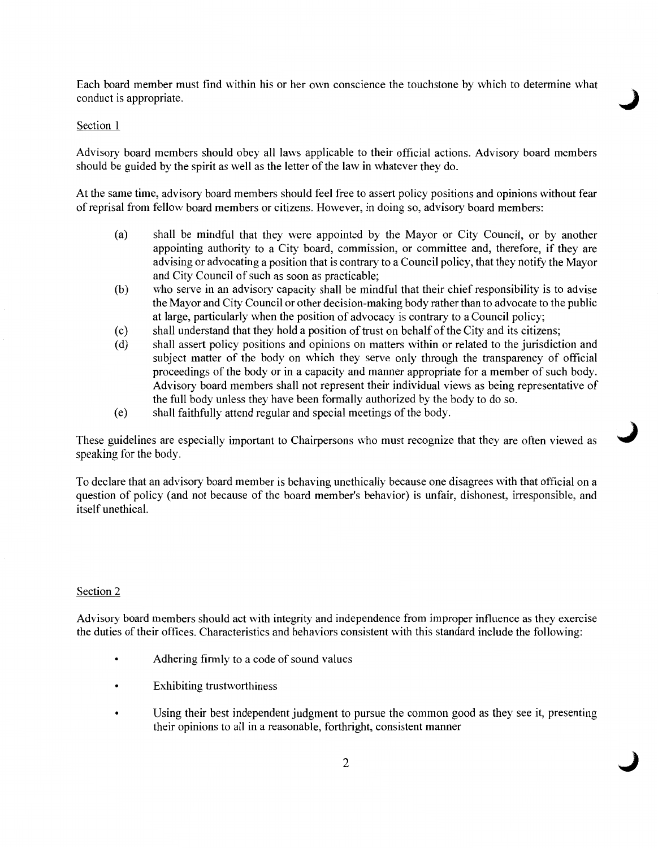Each board member must find within his or her own conscience the touchstone by which to determine what conduct is appropriate.

## Section 1

Advisory board members should obey all laws applicable to their official actions. Advisory board members should be guided by the spirit as well as the letter of the law in whatever they do.

At the same time, advisory board members should feel free to assert policy positions and opinions without fear of reprisal from fellow board members or citizens. However, in doing so, advisory board members:

- (a) shall be mindful that they were appointed by the Mayor or City Council, or by another appointing authority to a City board, commission, or committee and, therefore, if they are advising or advocating a position that is contrary to a Council policy, that they notify the Mayor and City Council of such as soon as practicable;
- (b) who serve in an advisory capacity shall be mindful that their chief responsibility is to advise the Mayor and City Council or other decision-making body rather than to advocate to the public at large, particularly when the position of advocacy is contrary to a Council policy;
- (c) shall understand that they hold a position of trust on behalf of the City and its citizens;
- (d) shall assert policy positions and opinions on matters within or related to the jurisdiction and subject matter of the body on which they serve only through the transparency of official proceedings of the body or in a capacity and manner appropriate for a member of such body. Advisory board members shall not represent their individual views as being representative of the full body unless they have been formally authorized by the body to do so.

J

J

( e) shall faithfully attend regular and special meetings of the body.

These guidelines are especially important to Chairpersons who must recognize that they are often viewed as speaking for the body.

To declare that an advisory board member is behaving unethically because one disagrees with that official on a question of policy (and not because of the board member's behavior) is unfair, dishonest, irresponsible, and itself unethical.

## Section 2

Advisory board members should act with integrity and independence from improper influence as they exercise the duties of their offices. Characteristics and behaviors consistent with this standard include the following:

- Adhering firmly to a code of sound values
- Exhibiting trustworthiness
- Using their best independent judgment to pursue the common good as they see it, presenting their opinions to all in a reasonable, forthright, consistent manner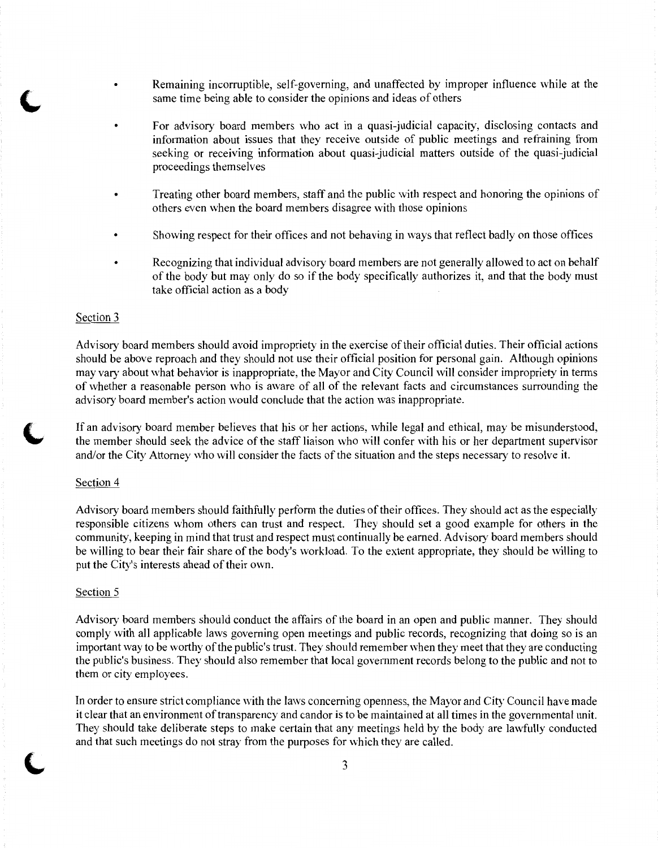- Remaining incorruptible, self-governing, and unaffected by improper influence while at the same time being able to consider the opinions and ideas of others
- For advisory board members who act in a quasi-judicial capacity, disclosing contacts and information about issues that they receive outside of public meetings and refraining from seeking or receiving information about quasi-judicial matters outside of the quasi-judicial proceedings themselves
- Treating other board members, staff and the public with respect and honoring the opinions of others even when the board members disagree with those opinions
- Showing respect for their offices and not behaving in ways that reflect badly on those offices
- Recognizing that individual advisory board members are not generally allowed to act on behalf of the body but may only do so if the body specifically authorizes it, and that the body must take official action as a body

#### Section 3

Advisory board members should avoid impropriety in the exercise of their official duties. Their official actions should be above reproach and they should not use their official position for personal gain. Although opinions may vary about what behavior is inappropriate, the Mayor and City Council will consider impropriety in terms of whether a reasonable person who is aware of all of the relevant facts and circumstances surrounding the advisory board member's action would conclude that the action was inappropriate.

If an advisory board member believes that his or her actions, while legal and ethical, may be misunderstood, the member should seek the advice of the staff liaison who will confer with his or her department supervisor and/or the City Attorney who will consider the facts of the situation and the steps necessary to resolve it.

#### Section 4

Advisory board members should faithfully perform the duties of their offices. They should act as the especially responsible citizens whom others can trust and respect. They should set a good example for others in the community, keeping in mind that trust and respect must continually be earned. Advisory board members should be willing to bear their fair share of the body's workload. To the extent appropriate, they should be willing to put the City's interests ahead of their own.

#### Section 5

Advisory board members should conduct the affairs of the board in an open and public manner. They should comply with all applicable laws governing open meetings and public records, recognizing that doing so is an important way to be worthy of the public's trust. They should remember when they meet that they are conducting the public's business. They should also remember that local government records belong to the public and not to them or city employees.

In order to ensure strict compliance with the laws concerning openness, the Mayor and City Council have made it clear that an environment of transparency and candor is to be maintained at all times in the governmental unit. They should take deliberate steps to make certain that any meetings held by the body are lawfully conducted and that such meetings do not stray from the purposes for which they are called.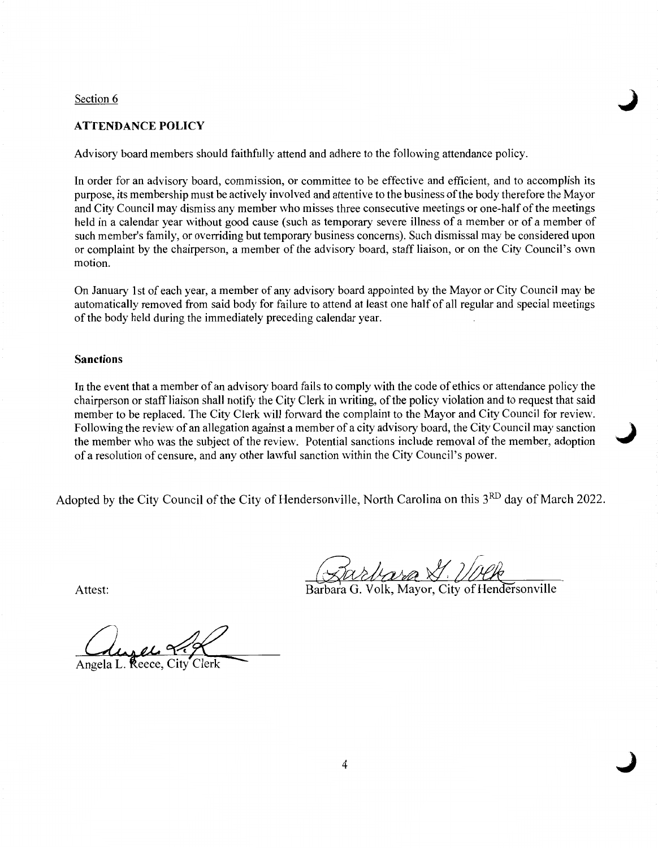#### Section 6

# **ATTENDANCE POLICY**

Advisory board members should faithfully attend and adhere to the following attendance policy.

In order for an advisory board, commission, or committee to be effective and efficient, and to accomplish its purpose, its membership must be actively involved and attentive to the business of the body therefore the Mayor and City Council may dismiss any member who misses three consecutive meetings or one-half of the meetings held in a calendar year without good cause (such as temporary severe illness of a member or of a member of such member's family, or overriding but temporary business concerns). Such dismissal may be considered upon or complaint by the chairperson, a member of the advisory board, staff liaison, or on the City Council's own motion.

On January 1st of each year, a member of any advisory board appointed by the Mayor or City Council may be automatically removed from said body for failure to attend at least one half of all regular and special meetings of the body held during the immediately preceding calendar year.

### **Sanctions**

In the event that a member of an advisory board fails to comply with the code of ethics or attendance policy the chairperson or staff liaison shall notify the City Clerk in writing, of the policy violation and to request that said member to be replaced. The City Clerk will forward the complaint to the Mayor and City Council for review. Following the review of an allegation against a member of a city advisory board, the City Council may sanction } the member who was the subject of the review. Potential sanctions include removal of the member, adoption of a resolution of censure, and any other lawful sanction within the City Council's power.

Adopted by the City Council of the City of Hendersonville, North Carolina on this 3<sup>RD</sup> day of March 2022.

Attest: Barbara G. Volk, Mayor, City of Hendersonville

**J** 

Reece, City Angela L.